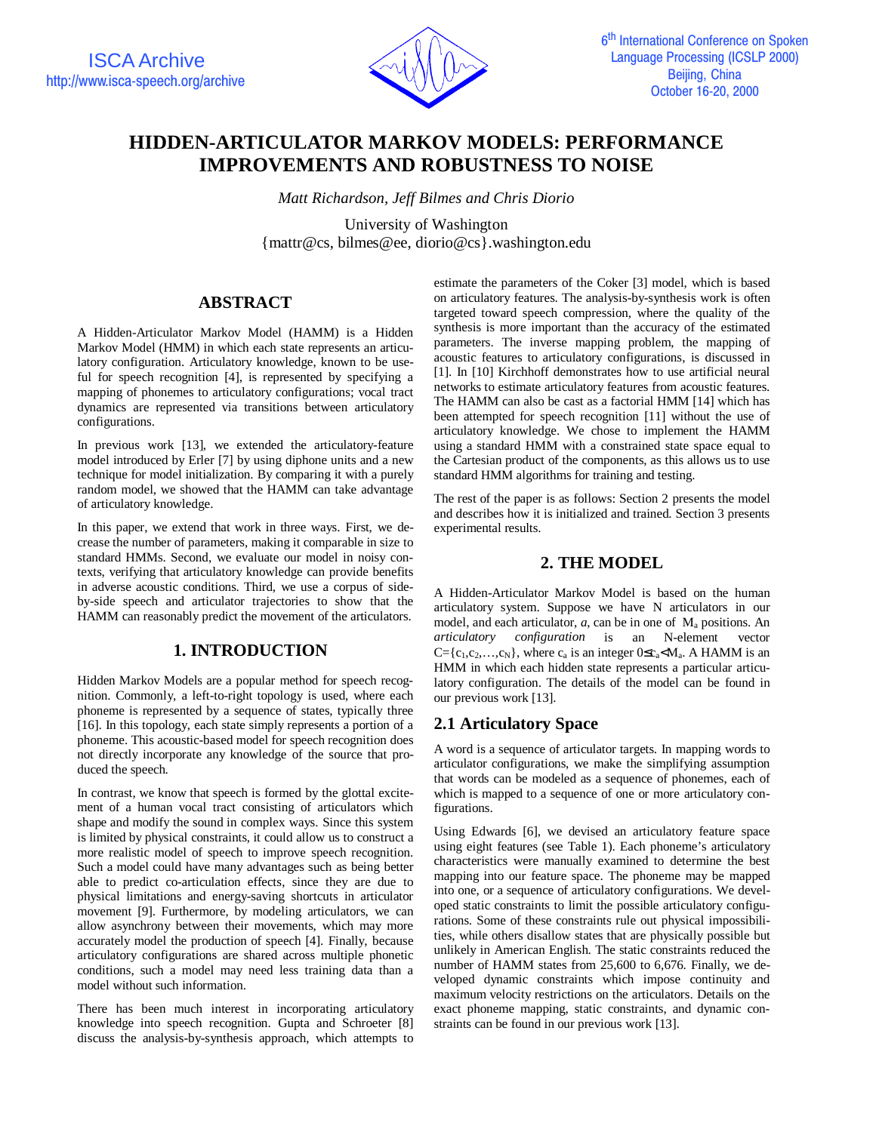

# **HIDDEN-ARTICULATOR MARKOV MODELS: PERFORMANCE IMPROVEMENTS AND ROBUSTNESS TO NOISE**

*Matt Richardson, Jeff Bilmes and Chris Diorio*

University of Washington {mattr@cs, bilmes@ee, diorio@cs}.washington.edu

# **ABSTRACT**

A Hidden-Articulator Markov Model (HAMM) is a Hidden Markov Model (HMM) in which each state represents an articulatory configuration. Articulatory knowledge, known to be useful for speech recognition [4], is represented by specifying a mapping of phonemes to articulatory configurations; vocal tract dynamics are represented via transitions between articulatory configurations.

In previous work [13], we extended the articulatory-feature model introduced by Erler [7] by using diphone units and a new technique for model initialization. By comparing it with a purely random model, we showed that the HAMM can take advantage of articulatory knowledge.

In this paper, we extend that work in three ways. First, we decrease the number of parameters, making it comparable in size to standard HMMs. Second, we evaluate our model in noisy contexts, verifying that articulatory knowledge can provide benefits in adverse acoustic conditions. Third, we use a corpus of sideby-side speech and articulator trajectories to show that the HAMM can reasonably predict the movement of the articulators.

# **1. INTRODUCTION**

Hidden Markov Models are a popular method for speech recognition. Commonly, a left-to-right topology is used, where each phoneme is represented by a sequence of states, typically three [16]. In this topology, each state simply represents a portion of a phoneme. This acoustic-based model for speech recognition does not directly incorporate any knowledge of the source that produced the speech.

In contrast, we know that speech is formed by the glottal excitement of a human vocal tract consisting of articulators which shape and modify the sound in complex ways. Since this system is limited by physical constraints, it could allow us to construct a more realistic model of speech to improve speech recognition. Such a model could have many advantages such as being better able to predict co-articulation effects, since they are due to physical limitations and energy-saving shortcuts in articulator movement [9]. Furthermore, by modeling articulators, we can allow asynchrony between their movements, which may more accurately model the production of speech [4]. Finally, because articulatory configurations are shared across multiple phonetic conditions, such a model may need less training data than a model without such information.

There has been much interest in incorporating articulatory knowledge into speech recognition. Gupta and Schroeter [8] discuss the analysis-by-synthesis approach, which attempts to

estimate the parameters of the Coker [3] model, which is based on articulatory features. The analysis-by-synthesis work is often targeted toward speech compression, where the quality of the synthesis is more important than the accuracy of the estimated parameters. The inverse mapping problem, the mapping of acoustic features to articulatory configurations, is discussed in [1]. In [10] Kirchhoff demonstrates how to use artificial neural networks to estimate articulatory features from acoustic features. The HAMM can also be cast as a factorial HMM [14] which has been attempted for speech recognition [11] without the use of articulatory knowledge. We chose to implement the HAMM using a standard HMM with a constrained state space equal to the Cartesian product of the components, as this allows us to use standard HMM algorithms for training and testing.

The rest of the paper is as follows: Section 2 presents the model and describes how it is initialized and trained. Section 3 presents experimental results.

### **2. THE MODEL**

A Hidden-Articulator Markov Model is based on the human articulatory system. Suppose we have N articulators in our model, and each articulator, *a*, can be in one of M<sub>a</sub> positions. An *articulatory configuration* is an N-element vector *configuration* is an  $C = \{c_1, c_2, \ldots, c_N\}$ , where  $c_a$  is an integer  $0 \leq c_a \leq M_a$ . A HAMM is an HMM in which each hidden state represents a particular articulatory configuration. The details of the model can be found in our previous work [13].

# **2.1 Articulatory Space**

A word is a sequence of articulator targets. In mapping words to articulator configurations, we make the simplifying assumption that words can be modeled as a sequence of phonemes, each of which is mapped to a sequence of one or more articulatory configurations.

Using Edwards [6], we devised an articulatory feature space using eight features (see Table 1). Each phoneme's articulatory characteristics were manually examined to determine the best mapping into our feature space. The phoneme may be mapped into one, or a sequence of articulatory configurations. We developed static constraints to limit the possible articulatory configurations. Some of these constraints rule out physical impossibilities, while others disallow states that are physically possible but unlikely in American English. The static constraints reduced the number of HAMM states from 25,600 to 6,676. Finally, we developed dynamic constraints which impose continuity and maximum velocity restrictions on the articulators. Details on the exact phoneme mapping, static constraints, and dynamic constraints can be found in our previous work [13].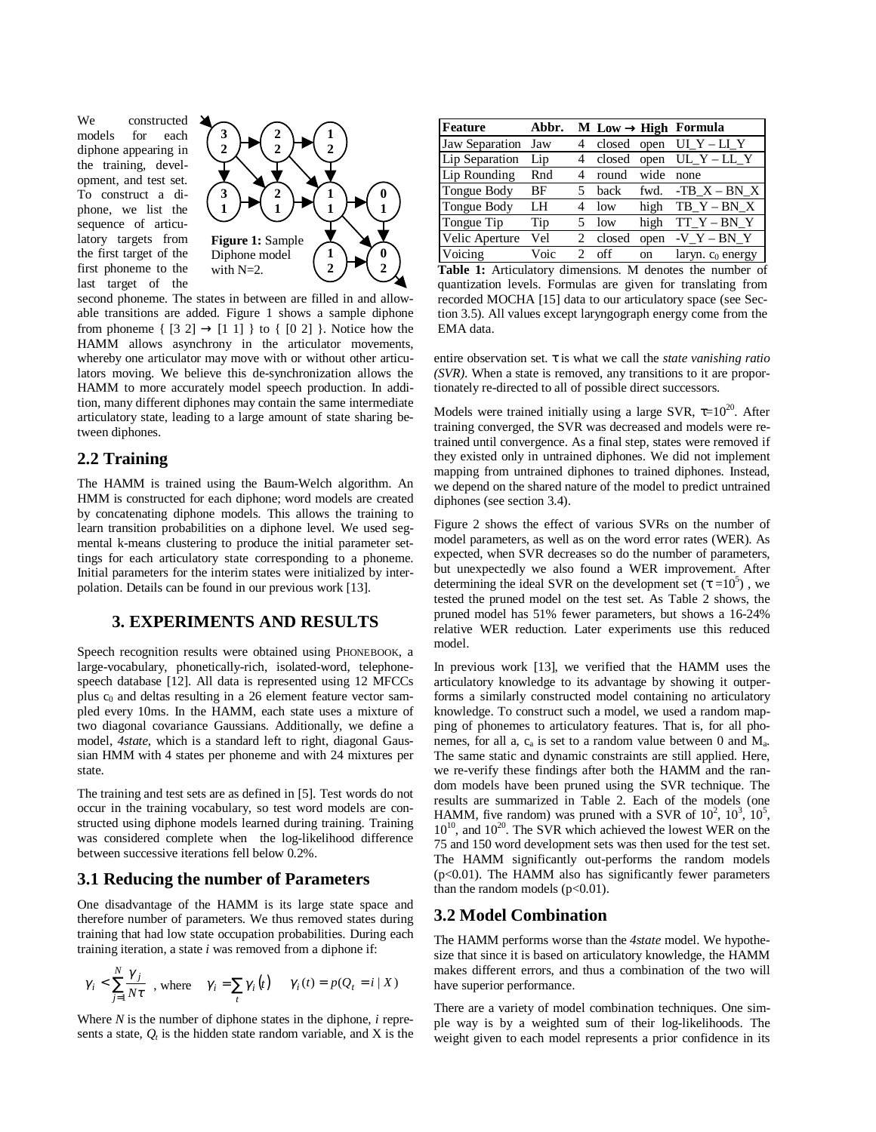We constructed models for each diphone appearing in the training, development, and test set. To construct a diphone, we list the sequence of articulatory targets from the first target of the first phoneme to the last target of the



second phoneme. The states in between are filled in and allowable transitions are added. Figure 1 shows a sample diphone from phoneme  $\{ [3 \ 2] \rightarrow [1 \ 1] \}$  to  $\{ [0 \ 2] \}$ . Notice how the HAMM allows asynchrony in the articulator movements, whereby one articulator may move with or without other articulators moving. We believe this de-synchronization allows the HAMM to more accurately model speech production. In addition, many different diphones may contain the same intermediate articulatory state, leading to a large amount of state sharing between diphones.

#### **2.2 Training**

The HAMM is trained using the Baum-Welch algorithm. An HMM is constructed for each diphone; word models are created by concatenating diphone models. This allows the training to learn transition probabilities on a diphone level. We used segmental k-means clustering to produce the initial parameter settings for each articulatory state corresponding to a phoneme. Initial parameters for the interim states were initialized by interpolation. Details can be found in our previous work [13].

#### **3. EXPERIMENTS AND RESULTS**

Speech recognition results were obtained using PHONEBOOK, a large-vocabulary, phonetically-rich, isolated-word, telephonespeech database [12]. All data is represented using 12 MFCCs plus  $c_0$  and deltas resulting in a 26 element feature vector sampled every 10ms. In the HAMM, each state uses a mixture of two diagonal covariance Gaussians. Additionally, we define a model, *4state*, which is a standard left to right, diagonal Gaussian HMM with 4 states per phoneme and with 24 mixtures per state.

The training and test sets are as defined in [5]. Test words do not occur in the training vocabulary, so test word models are constructed using diphone models learned during training. Training was considered complete when the log-likelihood difference between successive iterations fell below 0.2%.

#### **3.1 Reducing the number of Parameters**

One disadvantage of the HAMM is its large state space and therefore number of parameters. We thus removed states during training that had low state occupation probabilities. During each training iteration, a state *i* was removed from a diphone if:

$$
\gamma_i < \sum_{j=1}^N \frac{\gamma_j}{N\tau}
$$
, where  $\gamma_i = \sum_t \gamma_i(t) \quad \gamma_i(t) = p(Q_t = i \mid X)$ 

Where *N* is the number of diphone states in the diphone, *i* represents a state,  $Q_t$  is the hidden state random variable, and  $X$  is the

| Feature        | Abbr. |                             |        |      | $M$ Low $\rightarrow$ High Formula |
|----------------|-------|-----------------------------|--------|------|------------------------------------|
| Jaw Separation | Jaw   | 4                           | closed | open | UI $Y - LI Y$                      |
| Lip Separation | Lip   | 4                           | closed | open | $UL_Y - LL_Y$                      |
| Lip Rounding   | Rnd   | 4                           | round  | wide | none                               |
| Tongue Body    | ΒF    |                             | back   |      | fwd. $-TB_X - BN_X$                |
| Tongue Body    | LH    |                             | low    | high | $TB_Y - BN_X$                      |
| Tongue Tip     | Tip   | 5                           | low    | high | $TT_Y - BN_Y$                      |
| Velic Aperture | Vel   | 2                           | closed | open | $-VY-BNY$                          |
| Voicing        | Voic  | $\mathcal{D}_{\mathcal{L}}$ | off    | on   | laryn. $c_0$ energy                |

**Table 1:** Articulatory dimensions. M denotes the number of quantization levels. Formulas are given for translating from recorded MOCHA [15] data to our articulatory space (see Section 3.5). All values except laryngograph energy come from the EMA data.

entire observation set. τ is what we call the *state vanishing ratio (SVR)*. When a state is removed, any transitions to it are proportionately re-directed to all of possible direct successors.

Models were trained initially using a large SVR,  $\tau=10^{20}$ . After training converged, the SVR was decreased and models were retrained until convergence. As a final step, states were removed if they existed only in untrained diphones. We did not implement mapping from untrained diphones to trained diphones. Instead, we depend on the shared nature of the model to predict untrained diphones (see section 3.4).

Figure 2 shows the effect of various SVRs on the number of model parameters, as well as on the word error rates (WER). As expected, when SVR decreases so do the number of parameters, but unexpectedly we also found a WER improvement. After determining the ideal SVR on the development set  $(\tau = 10^5)$ , we tested the pruned model on the test set. As Table 2 shows, the pruned model has 51% fewer parameters, but shows a 16-24% relative WER reduction. Later experiments use this reduced model.

In previous work [13], we verified that the HAMM uses the articulatory knowledge to its advantage by showing it outperforms a similarly constructed model containing no articulatory knowledge. To construct such a model, we used a random mapping of phonemes to articulatory features. That is, for all phonemes, for all a,  $c_a$  is set to a random value between 0 and  $M_a$ . The same static and dynamic constraints are still applied. Here, we re-verify these findings after both the HAMM and the random models have been pruned using the SVR technique. The results are summarized in Table 2. Each of the models (one HAMM, five random) was pruned with a SVR of  $10^2$ ,  $10^3$ ,  $10^5$ ,  $10^{10}$ , and  $10^{20}$ . The SVR which achieved the lowest WER on the 75 and 150 word development sets was then used for the test set. The HAMM significantly out-performs the random models  $(p<0.01)$ . The HAMM also has significantly fewer parameters than the random models  $(p<0.01)$ .

#### **3.2 Model Combination**

The HAMM performs worse than the *4state* model. We hypothesize that since it is based on articulatory knowledge, the HAMM makes different errors, and thus a combination of the two will have superior performance.

There are a variety of model combination techniques. One simple way is by a weighted sum of their log-likelihoods. The weight given to each model represents a prior confidence in its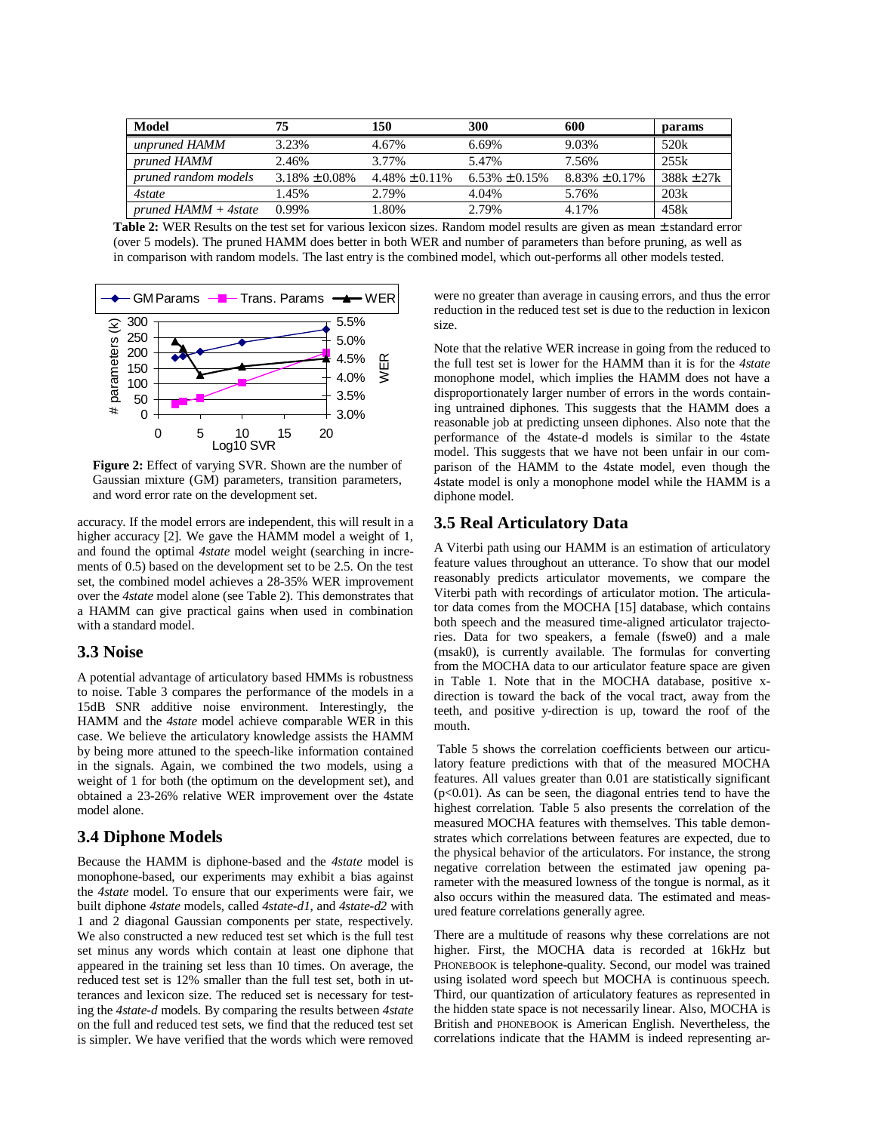| Model                   | 75                  | 150                 | 300                 | 600                 | params       |
|-------------------------|---------------------|---------------------|---------------------|---------------------|--------------|
| unpruned HAMM           | 3.23%               | 4.67%               | 6.69%               | 9.03%               | 520k         |
| <i>pruned HAMM</i>      | 2.46%               | 3.77%               | 5.47%               | 7.56%               | 255k         |
| pruned random models    | $3.18\% \pm 0.08\%$ | $4.48\% \pm 0.11\%$ | $6.53\% \pm 0.15\%$ | $8.83\% \pm 0.17\%$ | $388k + 27k$ |
| 4state                  | 1.45%               | 2.79%               | 4.04%               | 5.76%               | 203k         |
| $pruned HAMM + 4 state$ | 0.99%               | 1.80%               | 2.79%               | 4.17%               | 458k         |

**Table 2:** WER Results on the test set for various lexicon sizes. Random model results are given as mean ± standard error (over 5 models). The pruned HAMM does better in both WER and number of parameters than before pruning, as well as in comparison with random models. The last entry is the combined model, which out-performs all other models tested.



**Figure 2:** Effect of varying SVR. Shown are the number of Gaussian mixture (GM) parameters, transition parameters, and word error rate on the development set.

accuracy. If the model errors are independent, this will result in a higher accuracy [2]. We gave the HAMM model a weight of 1, and found the optimal *4state* model weight (searching in increments of 0.5) based on the development set to be 2.5. On the test set, the combined model achieves a 28-35% WER improvement over the *4state* model alone (see Table 2). This demonstrates that a HAMM can give practical gains when used in combination with a standard model.

#### **3.3 Noise**

A potential advantage of articulatory based HMMs is robustness to noise. Table 3 compares the performance of the models in a 15dB SNR additive noise environment. Interestingly, the HAMM and the *4state* model achieve comparable WER in this case. We believe the articulatory knowledge assists the HAMM by being more attuned to the speech-like information contained in the signals. Again, we combined the two models, using a weight of 1 for both (the optimum on the development set), and obtained a 23-26% relative WER improvement over the 4state model alone.

#### **3.4 Diphone Models**

Because the HAMM is diphone-based and the *4state* model is monophone-based, our experiments may exhibit a bias against the *4state* model. To ensure that our experiments were fair, we built diphone *4state* models, called *4state-d1*, and *4state-d2* with 1 and 2 diagonal Gaussian components per state, respectively. We also constructed a new reduced test set which is the full test set minus any words which contain at least one diphone that appeared in the training set less than 10 times. On average, the reduced test set is 12% smaller than the full test set, both in utterances and lexicon size. The reduced set is necessary for testing the *4state-d* models. By comparing the results between *4state* on the full and reduced test sets, we find that the reduced test set is simpler. We have verified that the words which were removed

were no greater than average in causing errors, and thus the error reduction in the reduced test set is due to the reduction in lexicon size.

Note that the relative WER increase in going from the reduced to the full test set is lower for the HAMM than it is for the *4state* monophone model, which implies the HAMM does not have a disproportionately larger number of errors in the words containing untrained diphones. This suggests that the HAMM does a reasonable job at predicting unseen diphones. Also note that the performance of the 4state-d models is similar to the 4state model. This suggests that we have not been unfair in our comparison of the HAMM to the 4state model, even though the 4state model is only a monophone model while the HAMM is a diphone model.

## **3.5 Real Articulatory Data**

A Viterbi path using our HAMM is an estimation of articulatory feature values throughout an utterance. To show that our model reasonably predicts articulator movements, we compare the Viterbi path with recordings of articulator motion. The articulator data comes from the MOCHA [15] database, which contains both speech and the measured time-aligned articulator trajectories. Data for two speakers, a female (fswe0) and a male (msak0), is currently available. The formulas for converting from the MOCHA data to our articulator feature space are given in Table 1. Note that in the MOCHA database, positive xdirection is toward the back of the vocal tract, away from the teeth, and positive y-direction is up, toward the roof of the mouth.

 Table 5 shows the correlation coefficients between our articulatory feature predictions with that of the measured MOCHA features. All values greater than 0.01 are statistically significant  $(p<0.01)$ . As can be seen, the diagonal entries tend to have the highest correlation. Table 5 also presents the correlation of the measured MOCHA features with themselves. This table demonstrates which correlations between features are expected, due to the physical behavior of the articulators. For instance, the strong negative correlation between the estimated jaw opening parameter with the measured lowness of the tongue is normal, as it also occurs within the measured data. The estimated and measured feature correlations generally agree.

There are a multitude of reasons why these correlations are not higher. First, the MOCHA data is recorded at 16kHz but PHONEBOOK is telephone-quality. Second, our model was trained using isolated word speech but MOCHA is continuous speech. Third, our quantization of articulatory features as represented in the hidden state space is not necessarily linear. Also, MOCHA is British and PHONEBOOK is American English. Nevertheless, the correlations indicate that the HAMM is indeed representing ar-